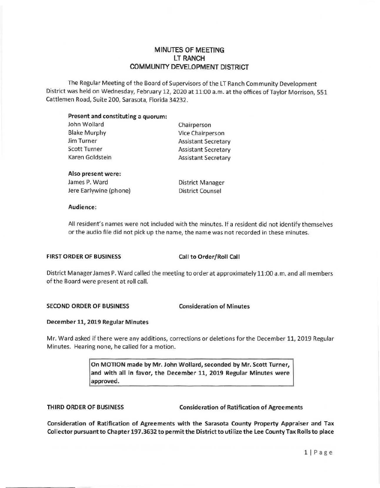# **MINUTES OF MEETING**  LT **RANCH COMMUNITY DEVELOPMENT DISTRICT**

The Regular Meeting of the Board of Supervisors of the LT Ranch Community Development District was held on Wednesday, February 12, 2020 at 11:00 a.m. at the offices of Taylor Morrison, 551 Cattlemen Road, Suite 200, Sarasota, Florida 34232.

#### **Present and constituting a quorum:**

| John Wollard        | Chairperson                |
|---------------------|----------------------------|
| <b>Blake Murphy</b> | Vice Chairperson           |
| Jim Turner          | <b>Assistant Secretary</b> |
| <b>Scott Turner</b> | <b>Assistant Secretary</b> |
| Karen Goldstein     | <b>Assistant Secretary</b> |
|                     |                            |

#### **Also present were:**

James P. Ward Jere Earlywine (phone)

District Manager District Counsel

#### **Audience:**

All resident's names were not included with the minutes. If a resident did not identify themselves or the audio file did not pick up the name, the name was not recorded in these minutes.

## **FIRST ORDER OF BUSINESS** Call **to Order/Roll Call**

District Manager James P. Ward called the meeting to order at approximately 11:00 a.m. and all members of the Board were present at roll call.

## **SECOND ORDER OF BUSINESS Consideration of Minutes**

## **December 11, 2019 Regular Minutes**

Mr. Ward asked if there were any additions, corrections or deletions for the December 11, 2019 Regular Minutes. Hearing none, he called for a motion.

> **On MOTION made by Mr. John Wollard, seconded by Mr. Scott Turner, and with** all **in favor, the December 11, 2019 Regular Minutes were approved.**

THIRD ORDER OF BUSINESS Consideration of Ratification of Agreements

Consideration of Ratification of Agreements with the Sarasota County Property Appraiser and Tax Collector pursuant to Chapter 197.3632 to permit the District to utilize the Lee County Tax Rolls to place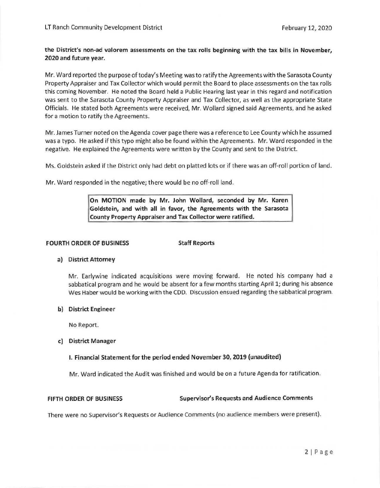**the District's non-ad valorem assessments on the tax rolls beginning with the tax bills** in **November, 2020 and future year.** 

Mr. Ward reported the purpose of today's Meeting was to ratify the Agreements with the Sarasota County Property Appraiser and Tax Collector which would permit the Board to place assessments on the tax rolls t his coming November. He noted the Board held a Public Hearing last year in this regard and notification was sent to the Sarasota County Property Appraiser and Tax Collector, as well as the appropriate State Officials. He stated both Agreements were received, Mr. Wollard signed said Agreements, and he asked for a motion to ratify the Agreements.

Mr. James Turner noted on the Agenda cover page there was a reference to Lee County which he assumed was a typo. He asked if this typo might also be found within the Agreements. Mr. Ward responded in the negative. He explained the Agreements were written by the County and sent to the District.

Ms. Goldstein asked if the District only had debt on platted lots or if there was an off-roll portion of land.

Mr. Ward responded in the negative; there would be no off-roll land.

**On MOTION made by Mr. John Wollard, seconded by Mr. Karen Goldstein, and with all in favor, the Agreements with the Sarasota County Property Appraiser and Tax Collector were ratified.** 

#### **FOURTH ORDER OF BUSINESS Staff Reports**

## **a) District Attorney**

Mr. Earlywine indicated acquisitions were moving forward. He noted his company had a sabbatical program and he would be absent for a few months starting April 1; during his absence Wes Haber would be working with the CDD. Discussion ensued regarding the sabbatical program.

#### **b) District Engineer**

No Report.

## **c) District Manager**

## I. **Financial Statement for the period ended November 30, 2019 (unaudited)**

Mr. Ward indicated the Audit was finished and would be on a future Agenda for ratification.

#### **FIFTH ORDER OF BUSINESS Supervisor's Requests and Audience Comments**

There were no Supervisor's Requests or Audience Comments (no audience members were present).